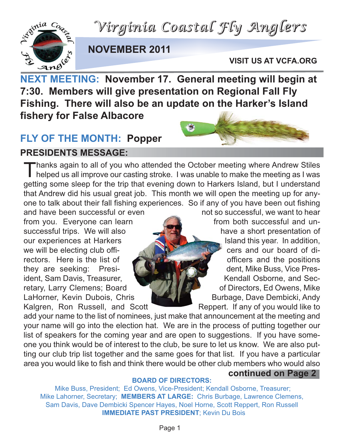*Virginia Coastal Fly Anglers*



### **NOVEMBER 2011**

**VISIT US AT VCFA.ORG**

**NEXT MEETING: November 17. General meeting will begin at 7:30. Members will give presentation on Regional Fall Fly Fishing. There will also be an update on the Harker's Island fishery for False Albacore**

### **FLY OF THE MONTH: Popper**

**PRESIDENTS MESSAGE:**



Thanks again to all of you who attended the October meeting where Andrew Stiles helped us all improve our casting stroke. I was unable to make the meeting as I was getting some sleep for the trip that evening down to Harkers Island, but I understand that Andrew did his usual great job. This month we will open the meeting up for anyone to talk about their fall fishing experiences. So if any of you have been out fishing

from you. Everyone can learn from both successful and unsuccessful trips. We will also have a short presentation of our experiences at Harkers **Island this year.** In addition, we will be electing club offirectors. Here is the list of  $\Box$   $\Box$  officers and the positions they are seeking: Presi- **dentified and the U.S. School and School Pres-** dent. Mike Buss, Vice President, Sam Davis, Treasurer, Kendall Osborne, and Secretary, Larry Clemens; Board **California and California Contract Contract Contract Contract Contract Contract Contract Contract Contract Contract Contract Contract Contract Contract Contract Contract Contract Contract Cont** LaHorner, Kevin Dubois, Chris Burbage, Dave Dembicki, Andy

and have been successful or even not so successful, we want to hear Kalgren, Ron Russell, and Scott Reppert. If any of you would like to

add your name to the list of nominees, just make that announcement at the meeting and your name will go into the election hat. We are in the process of putting together our list of speakers for the coming year and are open to suggestions. If you have someone you think would be of interest to the club, be sure to let us know. We are also putting our club trip list together and the same goes for that list. If you have a particular area you would like to fish and think there would be other club members who would also **continued on Page 2**

### **BOARD OF DIRECTORS:**

Mike Buss, President; Ed Owens, Vice-President; Kendall Osborne, Treasurer; Mike Lahorner, Secretary; **MEMBERS AT LARGE:** Chris Burbage, Lawrence Clemens, Sam Davis, Dave Dembicki Spencer Hayes, Noel Horne, Scott Reppert, Ron Russell **IMMEDIATE PAST PRESIDENT**; Kevin Du Bois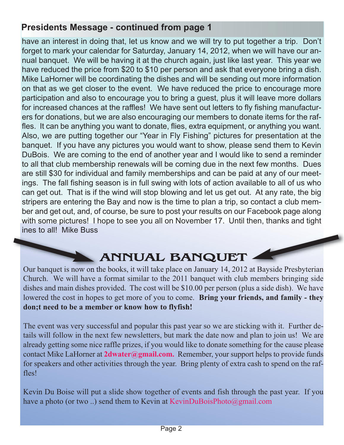### **Presidents Message - continued from page 1**

have an interest in doing that, let us know and we will try to put together a trip. Don't forget to mark your calendar for Saturday, January 14, 2012, when we will have our annual banquet. We will be having it at the church again, just like last year. This year we have reduced the price from \$20 to \$10 per person and ask that everyone bring a dish. Mike LaHorner will be coordinating the dishes and will be sending out more information on that as we get closer to the event. We have reduced the price to encourage more participation and also to encourage you to bring a guest, plus it will leave more dollars for increased chances at the raffles! We have sent out letters to fly fishing manufacturers for donations, but we are also encouraging our members to donate items for the raffles. It can be anything you want to donate, flies, extra equipment, or anything you want. Also, we are putting together our "Year in Fly Fishing" pictures for presentation at the banquet. If you have any pictures you would want to show, please send them to Kevin DuBois. We are coming to the end of another year and I would like to send a reminder to all that club membership renewals will be coming due in the next few months. Dues are still \$30 for individual and family memberships and can be paid at any of our meetings. The fall fishing season is in full swing with lots of action available to all of us who can get out. That is if the wind will stop blowing and let us get out. At any rate, the big stripers are entering the Bay and now is the time to plan a trip, so contact a club member and get out, and, of course, be sure to post your results on our Facebook page along with some pictures! I hope to see you all on November 17. Until then, thanks and tight ines to all! Mike Buss

### **ANNUAL BANQUET**

Our banquet is now on the books, it will take place on January 14, 2012 at Bayside Presbyterian Church. We will have a format similar to the 2011 banquet with club members bringing side dishes and main dishes provided. The cost will be \$10.00 per person (plus a side dish). We have lowered the cost in hopes to get more of you to come. **Bring your friends, and family - they don;t need to be a member or know how to flyfish!**

The event was very successful and popular this past year so we are sticking with it. Further details will follow in the next few newsletters, but mark the date now and plan to join us! We are already getting some nice raffle prizes, if you would like to donate something for the cause please contact Mike LaHorner at **2dwater@gmail.com.** Remember, your support helps to provide funds for speakers and other activities through the year. Bring plenty of extra cash to spend on the raffles!

Kevin Du Boise will put a slide show together of events and fish through the past year. If you have a photo (or two ..) send them to Kevin at KevinDuBoisPhoto@gmail.com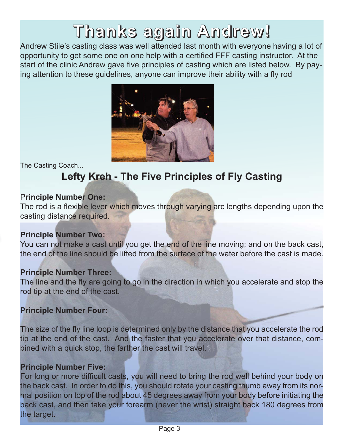## **Thanks again Andrew!**

Andrew Stile's casting class was well attended last month with everyone having a lot of opportunity to get some one on one help with a certified FFF casting instructor. At the start of the clinic Andrew gave five principles of casting which are listed below. By paying attention to these guidelines, anyone can improve their ability with a fly rod



The Casting Coach...

### **Lefty Kreh - The Five Principles of Fly Casting**

### P**rinciple Number One:**

The rod is a flexible lever which moves through varying arc lengths depending upon the casting distance required.

### **Principle Number Two:**

You can not make a cast until you get the end of the line moving; and on the back cast, the end of the line should be lifted from the surface of the water before the cast is made.

### **Principle Number Three:**

The line and the fly are going to go in the direction in which you accelerate and stop the rod tip at the end of the cast.

### **Principle Number Four:**

The size of the fly line loop is determined only by the distance that you accelerate the rod tip at the end of the cast. And the faster that you accelerate over that distance, combined with a quick stop, the farther the cast will travel.

### **Principle Number Five:**

For long or more difficult casts, you will need to bring the rod well behind your body on the back cast. In order to do this, you should rotate your casting thumb away from its normal position on top of the rod about 45 degrees away from your body before initiating the back cast, and then take your forearm (never the wrist) straight back 180 degrees from the target.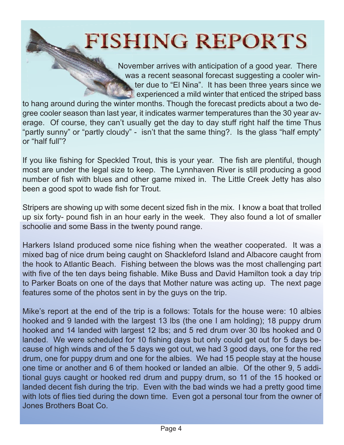## **FISHING REPORTS**

November arrives with anticipation of a good year. There was a recent seasonal forecast suggesting a cooler winter due to "El Nina". It has been three years since we experienced a mild winter that enticed the striped bass

to hang around during the winter months. Though the forecast predicts about a two degree cooler season than last year, it indicates warmer temperatures than the 30 year average. Of course, they can't usually get the day to day stuff right half the time Thus "partly sunny" or "partly cloudy" - isn't that the same thing?. Is the glass "half empty" or "half full"?

If you like fishing for Speckled Trout, this is your year. The fish are plentiful, though most are under the legal size to keep. The Lynnhaven River is still producing a good number of fish with blues and other game mixed in. The Little Creek Jetty has also been a good spot to wade fish for Trout.

Stripers are showing up with some decent sized fish in the mix. I know a boat that trolled up six forty- pound fish in an hour early in the week. They also found a lot of smaller schoolie and some Bass in the twenty pound range.

Harkers Island produced some nice fishing when the weather cooperated. It was a mixed bag of nice drum being caught on Shackleford Island and Albacore caught from the hook to Atlantic Beach. Fishing between the blows was the most challenging part with five of the ten days being fishable. Mike Buss and David Hamilton took a day trip to Parker Boats on one of the days that Mother nature was acting up. The next page features some of the photos sent in by the guys on the trip.

Mike's report at the end of the trip is a follows: Totals for the house were: 10 albies hooked and 9 landed with the largest 13 lbs (the one I am holding); 18 puppy drum hooked and 14 landed with largest 12 lbs; and 5 red drum over 30 lbs hooked and 0 landed. We were scheduled for 10 fishing days but only could get out for 5 days because of high winds and of the 5 days we got out, we had 3 good days, one for the red drum, one for puppy drum and one for the albies. We had 15 people stay at the house one time or another and 6 of them hooked or landed an albie. Of the other 9, 5 additional guys caught or hooked red drum and puppy drum, so 11 of the 15 hooked or landed decent fish during the trip. Even with the bad winds we had a pretty good time with lots of flies tied during the down time. Even got a personal tour from the owner of Jones Brothers Boat Co.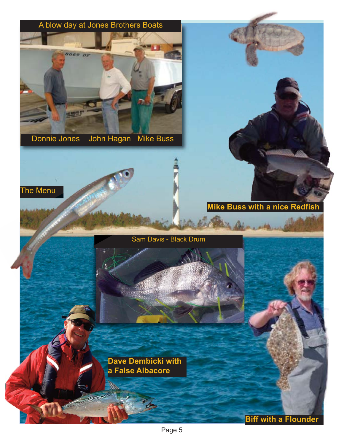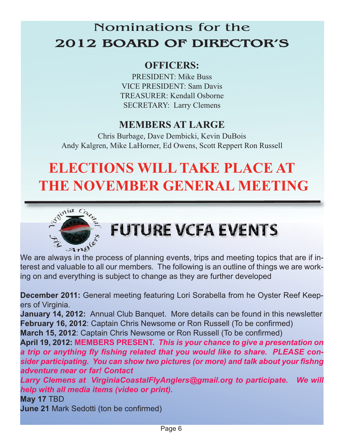### Nominations for the **2012 BOARD OF DIRECTOR'S**

### **OFFICERS:**

PRESIDENT: Mike Buss VICE PRESIDENT: Sam Davis TREASURER: Kendall Osborne SECRETARY: Larry Clemens

### **MEMBERS AT LARGE**

Chris Burbage, Dave Dembicki, Kevin DuBois Andy Kalgren, Mike LaHorner, Ed Owens, Scott Reppert Ron Russell

## **ELECTIONS WILL TAKE PLACE AT THE NOVEMBER GENERAL MEETING**



## **FUTURE VCFA EVENTS**

 $\mathcal{A} \mathcal{A} \mathcal{B}^{\vee}$ <br>We are always in the process of planning events, trips and meeting topics that are if interest and valuable to all our members. The following is an outline of things we are working on and everything is subject to change as they are further developed

**December 2011:** General meeting featuring Lori Sorabella from he Oyster Reef Keepers of Virginia.

**January 14, 2012:** Annual Club Banquet. More details can be found in this newsletter **February 16, 2012**: Captain Chris Newsome or Ron Russell (To be confirmed) **March 15, 2012**: Captain Chris Newsome or Ron Russell (To be confirmed)

**April 19, 2012: MEMBERS PRESENT.** *This is your chance to give a presentation on a trip or anything fly fishing related that you would like to share. PLEASE consider participating. You can show two pictures (or more) and talk about your fishng adventure near or far! Contact* 

*Larry Clemens at VirginiaCoastalFlyAnglers@gmail.org to participate. We will help with all media items (video or print).*

**May 17** TBD

**June 21** Mark Sedotti (ton be confirmed)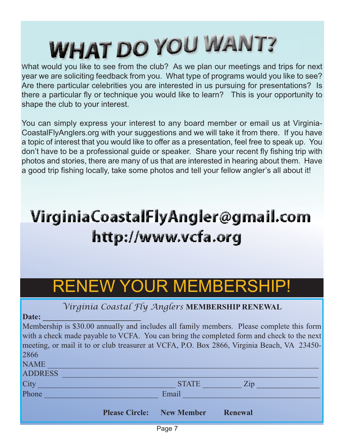# **WHAT DO YOU WANT?**

What would you like to see from the club? As we plan our meetings and trips for next year we are soliciting feedback from you. What type of programs would you like to see? Are there particular celebrities you are interested in us pursuing for presentations? Is there a particular fly or technique you would like to learn? This is your opportunity to shape the club to your interest.

You can simply express your interest to any board member or email us at Virginia-CoastalFlyAnglers.org with your suggestions and we will take it from there. If you have a topic of interest that you would like to offer as a presentation, feel free to speak up. You don't have to be a professional guide or speaker. Share your recent fly fishing trip with photos and stories, there are many of us that are interested in hearing about them. Have a good trip fishing locally, take some photos and tell your fellow angler's all about it!

## VirginiaCoastalFlyAngler@gmail.com http://www.vcfa.org

## RENEW YOUR MEMBERSHIP!

### *Virginia Coastal Fly Anglers* **MEMBERSHIP RENEWAL**

Date:

Membership is \$30.00 annually and includes all family members. Please complete this form with a check made payable to VCFA. You can bring the completed form and check to the next meeting, or mail it to or club treasurer at VCFA, P.O. Box 2866, Virginia Beach, VA 23450- 2866

|                | <b>Please Circle:</b> | New Member   | <b>Renewal</b>    |  |
|----------------|-----------------------|--------------|-------------------|--|
| Phone          |                       | Email        |                   |  |
| City           |                       | <b>STATE</b> | $\overline{Z}$ ip |  |
| <b>ADDRESS</b> |                       |              |                   |  |
| <b>NAME</b>    |                       |              |                   |  |